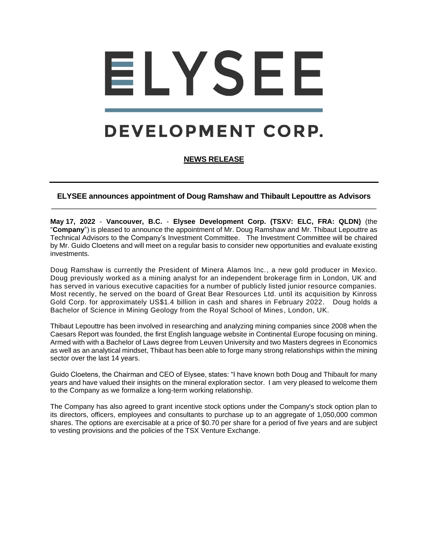# ELYSEE

# DEVELOPMENT CORP.

# **NEWS RELEASE**

## **ELYSEE announces appointment of Doug Ramshaw and Thibault Lepouttre as Advisors**  \_\_\_\_\_\_\_\_\_\_\_\_\_\_\_\_\_\_\_\_\_\_\_\_\_\_\_\_\_\_\_\_\_\_\_\_\_\_\_\_\_\_\_\_\_\_\_\_\_\_\_\_\_\_\_\_\_\_\_\_\_\_\_\_\_\_\_\_\_\_\_\_\_\_\_\_

**May 17, 2022** - **Vancouver, B.C.** - **Elysee Development Corp. (TSXV: ELC, FRA: QLDN)** (the "**Company**") is pleased to announce the appointment of Mr. Doug Ramshaw and Mr. Thibaut Lepouttre as Technical Advisors to the Company's Investment Committee. The Investment Committee will be chaired by Mr. Guido Cloetens and will meet on a regular basis to consider new opportunities and evaluate existing investments.

Doug Ramshaw is currently the President of Minera Alamos Inc., a new gold producer in Mexico. Doug previously worked as a mining analyst for an independent brokerage firm in London, UK and has served in various executive capacities for a number of publicly listed junior resource companies. Most recently, he served on the board of Great Bear Resources Ltd. until its acquisition by Kinross Gold Corp. for approximately US\$1.4 billion in cash and shares in February 2022. Doug holds a Bachelor of Science in Mining Geology from the Royal School of Mines , London, UK.

Thibaut Lepouttre has been involved in researching and analyzing mining companies since 2008 when the Caesars Report was founded, the first English language website in Continental Europe focusing on mining. Armed with with a Bachelor of Laws degree from Leuven University and two Masters degrees in Economics as well as an analytical mindset, Thibaut has been able to forge many strong relationships within the mining sector over the last 14 years.

Guido Cloetens, the Chairman and CEO of Elysee, states: "I have known both Doug and Thibault for many years and have valued their insights on the mineral exploration sector. I am very pleased to welcome them to the Company as we formalize a long-term working relationship.

The Company has also agreed to grant incentive stock options under the Company's stock option plan to its directors, officers, employees and consultants to purchase up to an aggregate of 1,050,000 common shares. The options are exercisable at a price of \$0.70 per share for a period of five years and are subject to vesting provisions and the policies of the TSX Venture Exchange.